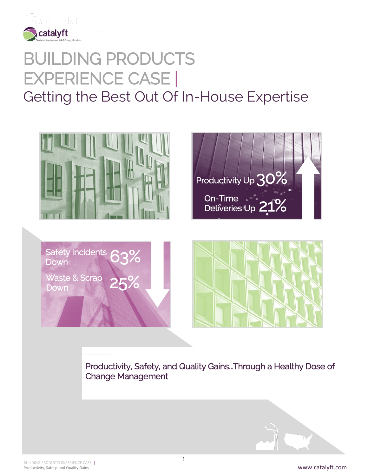

# BUILDING PRODUCTS EXPERIENCE CASE | Getting the Best Out Of In-House Expertise





Safety Incidents 63% Waste & Scrap 25%



Productivity, Safety, and Quality Gains...Through a Healthy Dose of Change Management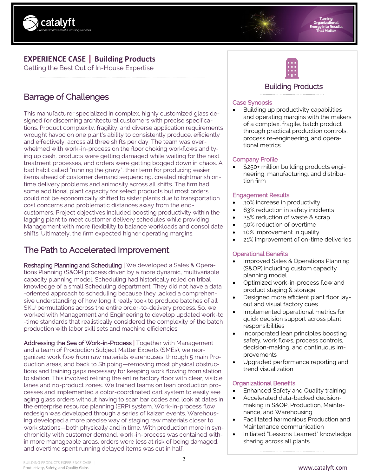

# **EXPERIENCE CASE | Building Products**

Getting the Best Out of In-House Expertise

# Barrage of Challenges

This manufacturer specialized in complex, highly customized glass designed for discerning architectural customers with precise specifications. Product complexity, fragility, and diverse application requirements wrought havoc on one plant's ability to consistently produce, efficiently and effectively, across all three shifts per day. The team was overwhelmed with work-in-process on the floor choking workflows and tying up cash, products were getting damaged while waiting for the next treatment processes, and orders were getting bogged down in chaos. A bad habit called "running the gravy", their term for producing easier items ahead of customer demand sequencing, created nightmarish ontime delivery problems and animosity across all shifts. The firm had some additional plant capacity for select products but most orders could not be economically shifted to sister plants due to transportation cost concerns and problematic distances away from the endcustomers. Project objectives included boosting productivity within the lagging plant to meet customer delivery schedules while providing Management with more flexibility to balance workloads and consolidate shifts. Ultimately, the firm expected higher operating margins.

# The Path to Accelerated Improvement

Reshaping Planning and Scheduling | We developed a Sales & Operations Planning (S&OP) process driven by a more dynamic, multivariable capacity planning model. Scheduling had historically relied on tribal knowledge of a small Scheduling department. They did not have a data -oriented approach to scheduling because they lacked a comprehensive understanding of how long it really took to produce batches of all SKU permutations across the entire order-to-delivery process. So, we worked with Management and Engineering to develop updated work-to -time standards that realistically considered the complexity of the batch production with labor skill sets and machine efficiencies.

Addressing the Sea of Work-in-Process | Together with Management and a team of Production Subject Matter Experts (SMEs), we reorganized work flow from raw materials warehouses, through 5 main Production areas, and back to Shipping—removing most physical obstructions and training gaps necessary for keeping work flowing from station to station. This involved relining the entire factory floor with clear, visible lanes and no-product zones. We trained teams on lean production processes and implemented a color-coordinated cart system to easily see aging glass orders without having to scan bar codes and look at dates in the enterprise resource planning (ERP) system. Work-in-process flow redesign was developed through a series of kaizen events. Warehousing developed a more precise way of staging raw materials closer to work stations—both physically and in time. With production more in synchronicity with customer demand, work-in-process was contained within more manageable areas, orders were less at risk of being damaged, and overtime spent running delayed items was cut in half.



## Building Products

## Case Synopsis

• Building up productivity capabilities and operating margins with the makers of a complex, fragile, batch product through practical production controls, process re-engineering, and operational metrics

#### Company Profile

• \$250+ million building products engineering, manufacturing, and distribution firm

#### Engagement Results

- 3o% increase in productivity
- 63% reduction in safety incidents
- 25% reduction of waste & scrap
- 50% reduction of overtime
- 10% improvement in quality
- 21% improvement of on-time deliveries

## Operational Benefits

- Improved Sales & Operations Planning (S&OP) including custom capacity planning model
- Optimized work-in-process flow and product staging & storage
- Designed more efficient plant floor layout and visual factory cues
- Implemented operational metrics for quick decision support across plant responsibilities
- Incorporated lean principles boosting safety, work flows, process controls, decision-making, and continuous improvements
- Upgraded performance reporting and trend visualization

#### Organizational Benefits

- Enhanced Safety and Quality training
- Accelerated data-backed decisionmaking in S&OP, Production, Maintenance, and Warehousing
- Facilitated harmonious Production and Maintenance communication
- Initiated "Lessons Learned" knowledge sharing across all plants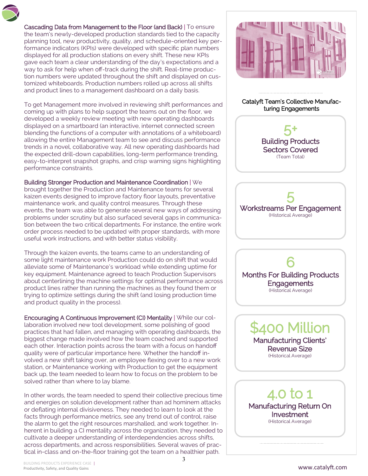Cascading Data from Management to the Floor (and Back) | To ensure the team's newly-developed production standards tied to the capacity planning tool, new productivity, quality, and schedule-oriented key performance indicators (KPIs) were developed with specific plan numbers displayed for all production stations on every shift. These new KPIs gave each team a clear understanding of the day's expectations and a way to ask for help when off-track during the shift. Real-time production numbers were updated throughout the shift and displayed on customized whiteboards. Production numbers rolled up across all shifts and product lines to a management dashboard on a daily basis.

To get Management more involved in reviewing shift performances and coming up with plans to help support the teams out on the floor, we developed a weekly review meeting with new operating dashboards displayed on a smartboard (an interactive, internet connected screen blending the functions of a computer with annotations of a whiteboard) allowing the entire Management team to see and discuss performance trends in a novel, collaborative way. All new operating dashboards had the expected drill-down capabilities, long-term performance trending, easy-to-interpret snapshot graphs, and crisp warning signs highlighting performance constraints.

#### Building Stronger Production and Maintenance Coordination | We

brought together the Production and Maintenance teams for several kaizen events designed to improve factory floor layouts, preventative maintenance work, and quality control measures. Through these events, the team was able to generate several new ways of addressing problems under scrutiny but also surfaced several gaps in communication between the two critical departments. For instance, the entire work order process needed to be updated with proper standards, with more useful work instructions, and with better status visibility.

Through the kaizen events, the teams came to an understanding of some light maintenance work Production could do on shift that would alleviate some of Maintenance's workload while extending uptime for key equipment. Maintenance agreed to teach Production Supervisors about centerlining the machine settings for optimal performance across product lines rather than running the machines as they found them or trying to optimize settings during the shift (and losing production time and product quality in the process).

Encouraging A Continuous Improvement (CI) Mentality | While our collaboration involved new tool development, some polishing of good practices that had fallen, and managing with operating dashboards, the biggest change made involved how the team coached and supported each other. Interaction points across the team with a focus on handoff quality were of particular importance here. Whether the handoff involved a new shift taking over, an employee flexing over to a new work station, or Maintenance working with Production to get the equipment back up, the team needed to learn how to focus on the problem to be solved rather than where to lay blame.

In other words, the team needed to spend their collective precious time and energies on solution development rather than ad hominem attacks or deflating internal divisiveness. They needed to learn to look at the facts through performance metrics, see any trend out of control, raise the alarm to get the right resources marshalled, and work together. Inherent in building a CI mentality across the organization, they needed to cultivate a deeper understanding of interdependencies across shifts, across departments, and across responsibilities. Several waves of practical in-class and on-the-floor training got the team on a healthier path.



#### Catalyft Team's Collective Manufacturing Engagements





6 Months For Building Products **Engagements** (Historical Average)

> \$400 Million Manufacturing Clients' Revenue Size (Historical Average)

4.0 to 1 Manufacturing Return On Investment (Historical Average)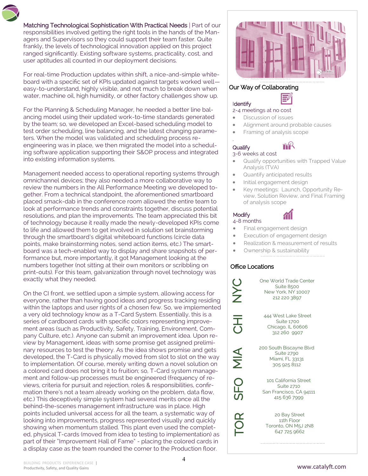Matching Technological Sophistication With Practical Needs | Part of our responsibilities involved getting the right tools in the hands of the Managers and Supervisors so they could support their team faster. Quite frankly, the levels of technological innovation applied on this project ranged significantly. Existing software systems, practicality, cost, and user aptitudes all counted in our deployment decisions.

For real-time Production updates within shift, a nice-and-simple whiteboard with a specific set of KPIs updated against targets worked well easy-to-understand, highly visible, and not much to break down when water, machine oil, high humidity, or other factory challenges show up.

For the Planning & Scheduling Manager, he needed a better line balancing model using their updated work-to-time standards generated by the team; so, we developed an Excel-based scheduling model to test order scheduling, line balancing, and the latest changing parameters. When the model was validated and scheduling process reengineering was in place, we then migrated the model into a scheduling software application supporting their S&OP process and integrated into existing information systems.

Management needed access to operational reporting systems through omnichannel devices; they also needed a more collaborative way to review the numbers in the All Performance Meeting we developed together. From a technical standpoint, the aforementioned smartboard placed smack-dab in the conference room allowed the entire team to look at performance trends and constraints together, discuss potential resolutions, and plan the improvements. The team appreciated this bit of technology because it really made the newly-developed KPIs come to life and allowed them to get involved in solution set brainstorming through the smartboard's digital whiteboard functions (circle data points, make brainstorming notes, send action items, etc.) The smartboard was a tech-enabled way to display and share snapshots of performance but, more importantly, it got Management looking at the numbers together (not sitting at their own monitors or scribbling on print-outs). For this team, galvanization through novel technology was exactly what they needed.

On the CI front, we settled upon a simple system, allowing access for everyone, rather than having good ideas and progress tracking residing within the laptops and user rights of a chosen few. So, we implemented a very old technology know as a T-Card System. Essentially, this is a series of cardboard cards with specific colors representing improvement areas (such as Productivity, Safety, Training, Environment, Company Culture, etc.). Anyone can submit an improvement idea. Upon review by Management, ideas with some promise get assigned preliminary resources to test the theory. As the idea shows promise and gets developed, the T-Card is physically moved from slot to slot on the way to implementation. Of course, merely writing down a novel solution on a colored card does not bring it to fruition; so, T-Card system management and follow-up processes must be engineered (frequency of reviews, criteria for pursuit and rejection, roles & responsibilities, confirmation there's not a team already working on the problem, data flow, etc.) This deceptively simple system had several merits once all the behind-the-scenes management infrastructure was in place. High points included universal access for all the team, a systematic way of looking into improvements, progress represented visually and quickly showing when momentum stalled. This plant even used the completed, physical T-cards (moved from idea to testing to implementation) as part of their "Improvement Hall of Fame" - placing the colored cards in a display case as the team rounded the corner to the Production floor.



#### Our Way of Collaborating

## **Identify**

.

#### 2-4 meetings at no cost

- Discussion of issues
- Alignment around probable causes

6

• Framing of analysis scope

# **Qualify**

#### 3-6 weeks at cost

- Qualify opportunities with Trapped Value Analysis (TVA)
- Quantify anticipated results
- Initial engagement design
- Key meetings: Launch, Opportunity Review, Solution Review, and Final Framing of analysis scope

## **Modify**

- 4-8 months
- Final engagement design
- Execution of engagement design
- Realization & measurement of results
- Ownership & sustainability

#### Office Locations

NYC

こ<br>こ

 $\frac{\mathbf{1}}{\mathbf{2}}$ 

SFO

TOR

One World Trade Center Suite 8500 New York, NY 10007 212 220 3897

444 West Lake Street Suite 1700 Chicago, IL 60606 312 260 9907

200 South Biscayne Blvd Suite 2790 Miami, FL 33131 305 925 8112

101 California Street Suite 2710 San Francisco, CA 94111 415 636 7999

20 Bay Street 11th Floor Toronto, ON M5J 2N8 647 725 9662